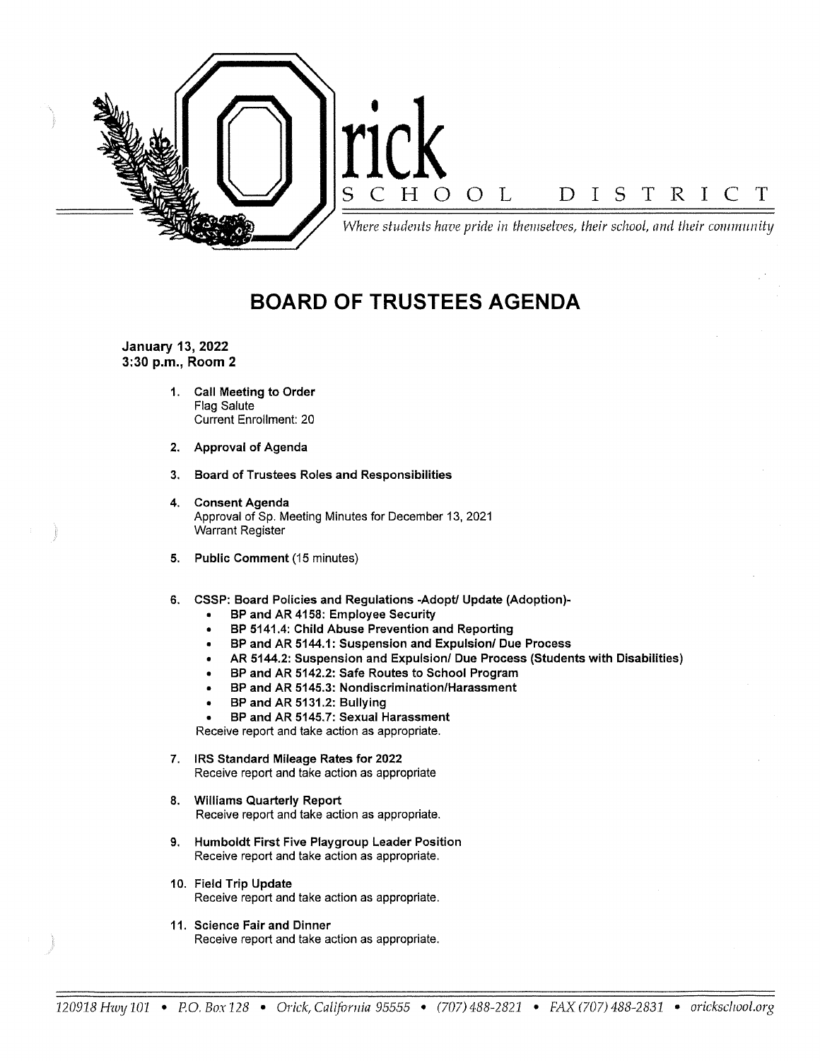

# **BOARD OF TRUSTEES AGENDA**

**January 13, 2022 3:30 p.m., Room 2** 

- **1. Call Meeting to Order**  Flag Salute Current Enrollment: 20
- **2. Approval of Agenda**
- **3. Board of Trustees Roles and Responsibilities**
- **4. Consent Agenda**  Approval of Sp. Meeting Minutes for December 13, 2021 Warrant Register
- **5. Public Comment** (15 minutes)
- **6. CSSP: Board Policies and Regulations -Adopt/ Update (Adoption)-**
	- **BP and AR 4158: Employee Security**
	- **BP 5141.4: Child Abuse Prevention and Reporting**
	- **BP and AR 5144.1: Suspension and Expulsion/ Due Process**
	- **AR 5144.2: Suspension and Expulsion/ Due Process (Students with Disabilities)**
	- **BP and AR 5142.2: Safe Routes to School Program**
	- **BP and AR 5145.3: Nondiscrimination/Harassment**
	- **BP and AR 5131.2: Bullying**
	- **BP and AR 5145.7: Sexual Harassment**

Receive report and take action as appropriate.

- **7. IRS Standard Mileage Rates for 2022**  Receive report and take action as appropriate
- **8. Williams Quarterly Report**  Receive report and take action as appropriate.
- **9. Humboldt First Five Playgroup Leader Position**  Receive report and take action as appropriate.
- **10. Field Trip Update**  Receive report and take action as appropriate.
- 11. Science Fair and Dinner Receive report and take action as appropriate.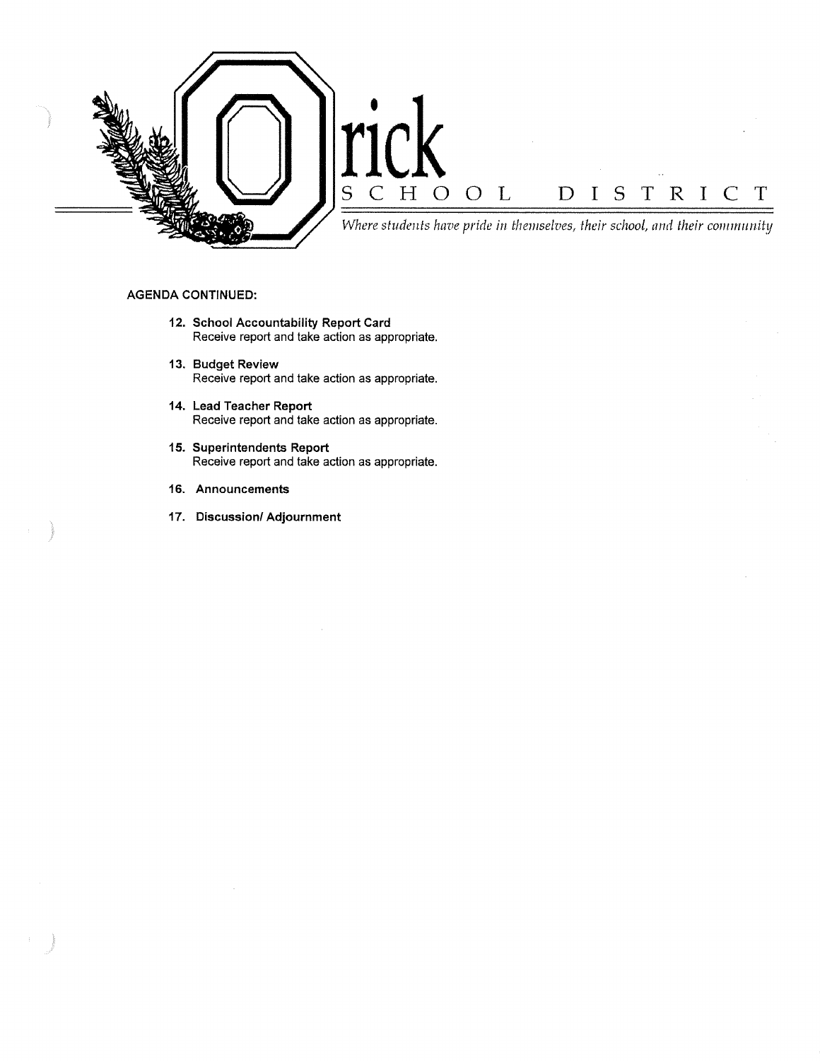

### **AGENDA CONTINUED:**

- **12. School Accountability Report Card**  Receive report and take action as appropriate.
- **13. Budget Review**  Receive report and take action as appropriate.
- **14. Lead Teacher Report**  Receive report and take action as appropriate.
- **15. Superintendents Report**  Receive report and take action as appropriate.
- **16. Announcements**
- **17. Discussion/ Adjournment**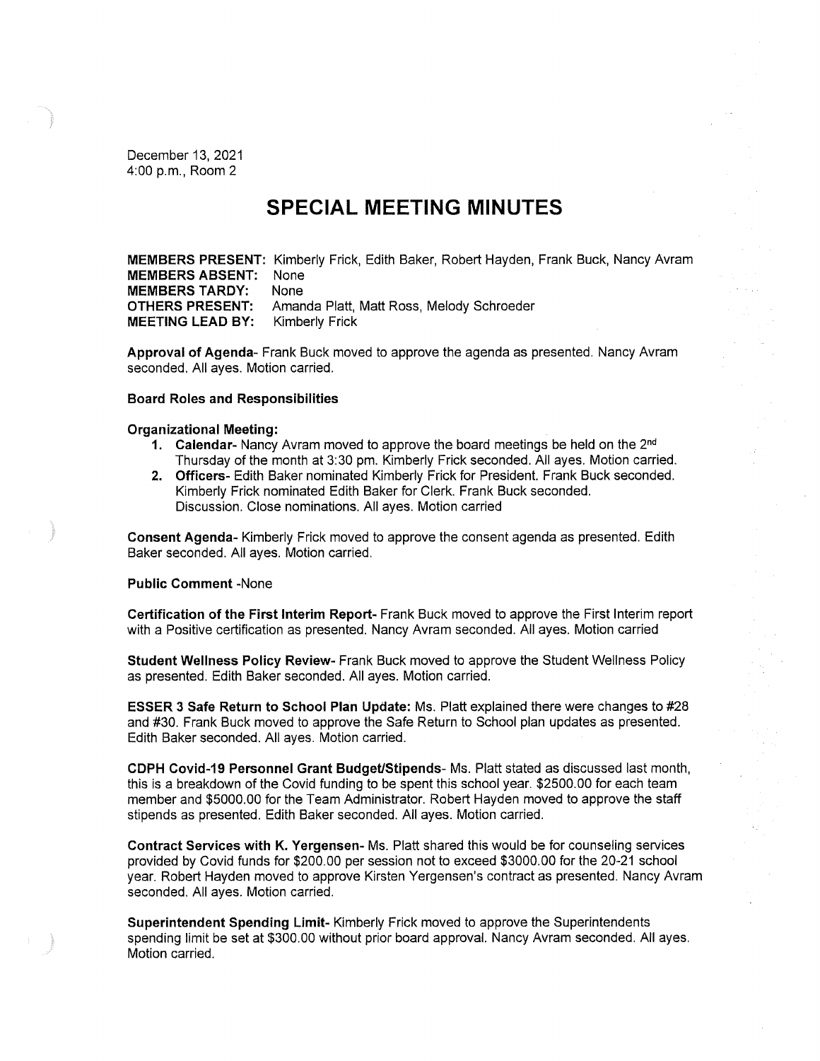December 13, 2021 4:00 p.m., Room 2

## **SPECIAL MEETING MINUTES**

**MEMBERS PRESENT:** Kimberly Frick, Edith Baker, Robert Hayden, Frank Buck, Nancy Avram **MEMBERS ABSENT:** None **MEMBERS TARDY:** None **OTHERS PRESENT:** Amanda Platt, Matt Ross, Melody Schroeder **MEETING LEAD BY:** Kimberly Frick

**Approval of Agenda-** Frank Buck moved to approve the agenda as presented. Nancy Avram seconded. All ayes. Motion carried.

#### **Board Roles and Responsibilities**

#### **Organizational Meeting:**

- **1. Calendar-** Nancy Avram moved to approve the board meetings be held on the 2nd Thursday of the month at 3:30 pm. Kimberly Frick seconded. All ayes. Motion carried.
- **2. Officers-** Edith Baker nominated Kimberly Frick for President. Frank Buck seconded. Kimberly Frick nominated Edith Baker for Clerk. Frank Buck seconded. Discussion. Close nominations. All ayes. Motion carried

**Consent Agenda-** Kimberly Frick moved to approve the consent agenda as presented. Edith Baker seconded. All ayes. Motion carried.

#### **Public Comment** -None

**Certification of the First Interim Report-** Frank Buck moved to approve the First Interim report with a Positive certification as presented. Nancy Avram seconded. All ayes. Motion carried

**Student Wellness Policy Review-** Frank Buck moved to approve the Student Wellness Policy as presented. Edith Baker seconded. All ayes. Motion carried.

**ESSER 3 Safe Return to School Plan Update:** Ms. Platt explained there were changes to #28 and #30. Frank Buck moved to approve the Safe Return to School plan updates as presented. Edith Baker seconded. All ayes. Motion carried.

**CDPH Covid-19 Personnel Grant Budget/Stipends-** Ms. Platt stated as discussed last month, this is a breakdown of the Covid funding to be spent this school year. \$2500.00 for each team member and \$5000.00 for the Team Administrator. Robert Hayden moved to approve the staff stipends as presented. Edith Baker seconded. All ayes. Motion carried.

**Contract Services with K. Yergensen-** Ms. Platt shared this would be for counseling services provided by Covid funds for \$200.00 per session not to exceed \$3000.00 for the 20-21 school year. Robert Hayden moved to approve Kirsten Yergensen's contract as presented. Nancy Avram seconded. All ayes. Motion carried.

**Superintendent Spending Limit-** Kimberly Frick moved to approve the Superintendents spending limit be set at \$300.00 without prior board approval. Nancy Avram seconded. All ayes. Motion carried.